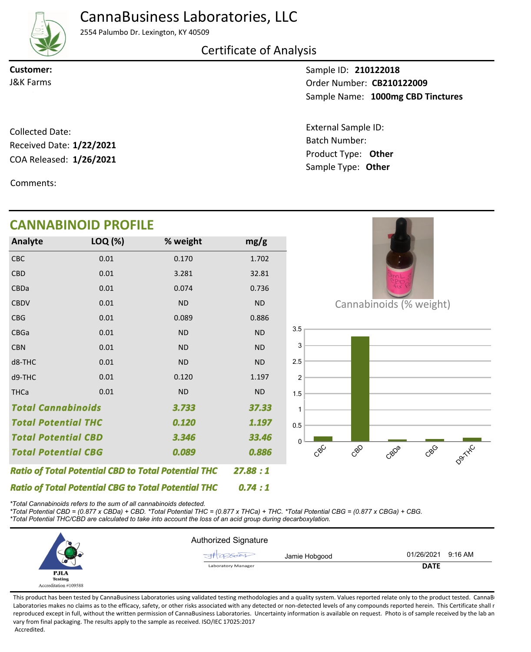CannaBusiness Laboratories, LLC



2554 Palumbo Dr. Lexington, KY 40509

## Certificate of Analysis

**Customer:**

Sample ID: **210122018** Sample Name: 1000mg CBD Tinctures **CB210122009** J&K Farms Order Number:

> Product Type: **Other 1/26/2021** Batch Number: External Sample ID: Sample Type: **Other**

COA Released: 1/26/2021 Collected Date: Received Date: **1/22/2021**

Comments:

#### Cannabinoids (% weight)  $e^{8C}$ CBD CBDa CBGG D9TXXL  $\Omega$ 0.5 1 1.5 2 2.5 3 3.5 CBC 0.01 0.170 1.702 *0.089 0.74 : 1 27.88 : 1 3.733 Total Potential CBD 1.197 Total Potential CBG 3.346 Total Cannabinoids Ratio of Total Potential CBD to Total Potential THC 0.886 Ratio of Total Potential CBG to Total Potential THC 37.33 0.120 33.46 Total Potential THC* CBD CBDa **CBDV** CBG CBGa CBN d8-THC d9-THC **THCa** 0.01 0.01 0.01 0.01 0.01 0.01 0.01 0.01 0.01 3.281 0.074 ND 0.089 ND ND ND 0.120 ND 32.81 0.736 ND 0.886 ND ND ND 1.197 ND **Analyte LOQ (%) mg/g % weight CANNABINOID PROFILE**

*\*Total Cannabinoids refers to the sum of all cannabinoids detected.*

*\*Total Potential CBD = (0.877 x CBDa) + CBD. \*Total Potential THC = (0.877 x THCa) + THC. \*Total Potential CBG = (0.877 x CBGa) + CBG. \*Total Potential THC/CBD are calculated to take into account the loss of an acid group during decarboxylation.*



This product has been tested by CannaBusiness Laboratories using validated testing methodologies and a quality system. Values reported relate only to the product tested. CannaB Laboratories makes no claims as to the efficacy, safety, or other risks associated with any detected or non-detected levels of any compounds reported herein. This Certificate shall r reproduced except in full, without the written permission of CannaBusiness Laboratories. Uncertainty information is available on request. Photo is of sample received by the lab an vary from final packaging. The results apply to the sample as received. ISO/IEC 17025:2017 Accredited.